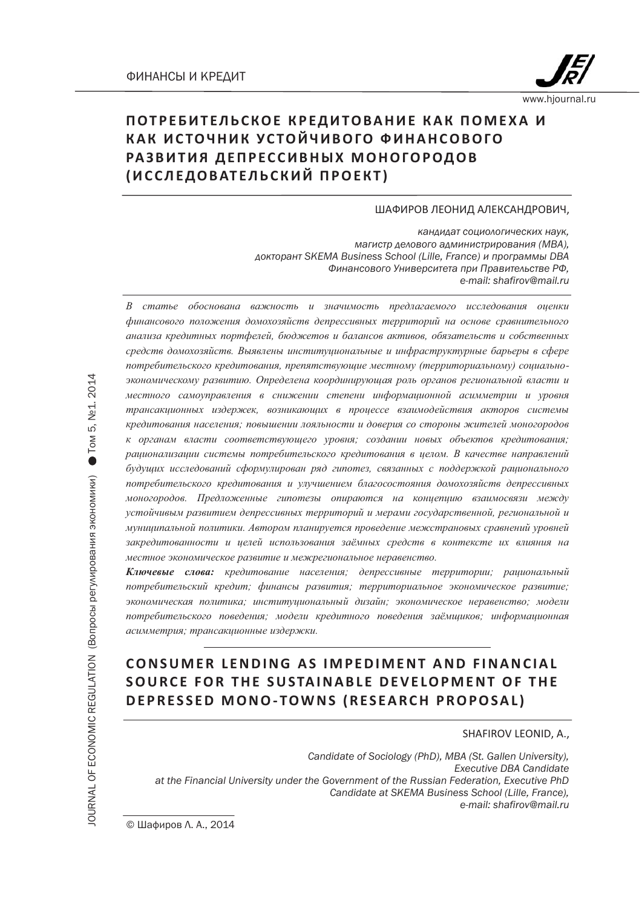

# **ПОТРЕБИТЕЛЬСКОЕ КРЕДИТОВАНИЕ КАК ПОМЕХА И КАК ИСТОЧНИК УСТОЙЧИВОГО ФИНАНСОВОГО РАЗВИТИЯ ДЕПРЕССИВНЫХ МОНОГОРОДОВ (ИССЛЕДОВАТЕЛЬСКИЙ ПРОЕКТ)**

## ШАФИРОВ ЛЕОНИД АЛЕКСАНДРОВИЧ,

*кандидат социологических наук, магистр делового администрирования (MBA), докторант SKEMA Business School (Lille, France) и программы DBA Финансового Университета при Правительстве РФ, e-mail: shafirov@mail.ru* 

*В статье обоснована важность и значимость предлагаемого исследования оценки финансового положения домохозяйств депрессивных территорий на основе сравнительного анализа кредитных портфелей, бюджетов и балансов активов, обязательств и собственных средств домохозяйств. Выявлены институциональные и инфраструктурные барьеры в сфере потребительского кредитования, препятствующие местному (территориальному) социальноэкономическому развитию. Определена координирующая роль органов региональной власти и местного самоуправления в снижении степени информационной асимметрии и уровня трансакционных издержек, возникающих в процессе взаимодействия акторов системы кредитования населения; повышении лояльности и доверия со стороны жителей моногородов к органам власти соответствующего уровня; создании новых объектов кредитования; рационализации системы потребительского кредитования в целом. В качестве направлений будущих исследований сформулирован ряд гипотез, связанных с поддержкой рационального потребительского кредитования и улучшением благосостояния домохозяйств депрессивных моногородов. Предложенные гипотезы опираются на концепцию взаимосвязи между устойчивым развитием депрессивных территорий и мерами государственной, региональной и муниципальной политики. Автором планируется проведение межстрановых сравнений уровней закредитованности и целей использования заёмных средств в контексте их влияния на местное экономическое развитие и межрегиональное неравенство.* 

*Ключевые слова: кредитование населения; депрессивные территории; рациональный потребительский кредит; финансы развития; территориальное экономическое развитие; экономическая политика; институциональный дизайн; экономическое неравенство; модели потребительского поведения; модели кредитного поведения заёмщиков; информационная асимметрия; трансакционные издержки.* 

# **CONSUMER LENDING AS IMPEDIMENT AND FINANCIAL SOURCE FOR THE SUSTAINABLE DEVELOPMENT OF THE DEPRESSED MONO-TOWNS (RESEARCH PROPOSAL)**

### SHAFIROV LEONID, A.,

*Candidate of Sociology (PhD), MBA (St. Gallen University), Executive DBA Candidate at the Financial University under the Government of the Russian Federation, Executive PhD Candidate at SKEMA Business School (Lille, France), e-mail: shafirov@mail.ru*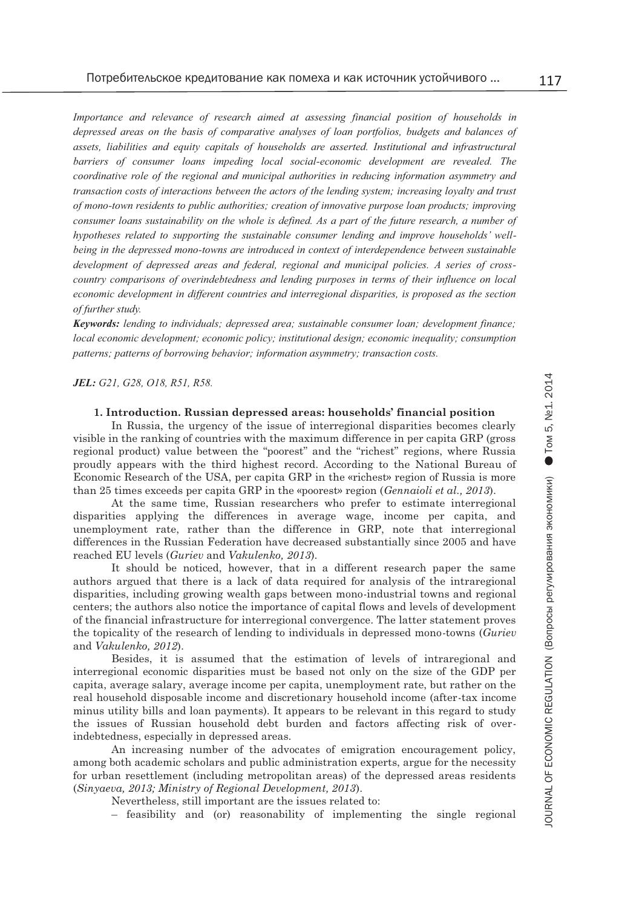*Importance and relevance of research aimed at assessing financial position of households in depressed areas on the basis of comparative analyses of loan portfolios, budgets and balances of assets, liabilities and equity capitals of households are asserted. Institutional and infrastructural barriers of consumer loans impeding local social-economic development are revealed. The coordinative role of the regional and municipal authorities in reducing information asymmetry and transaction costs of interactions between the actors of the lending system; increasing loyalty and trust of mono-town residents to public authorities; creation of innovative purpose loan products; improving consumer loans sustainability on the whole is defined. As a part of the future research, a number of hypotheses related to supporting the sustainable consumer lending and improve households' wellbeing in the depressed mono-towns are introduced in context of interdependence between sustainable development of depressed areas and federal, regional and municipal policies. A series of crosscountry comparisons of overindebtedness and lending purposes in terms of their influence on local economic development in different countries and interregional disparities, is proposed as the section of further study.* 

*Keywords: lending to individuals; depressed area; sustainable consumer loan; development finance; local economic development; economic policy; institutional design; economic inequality; consumption patterns; patterns of borrowing behavior; information asymmetry; transaction costs.* 

## *JEL: G21, G28, O18, R51, R58.*

### **1. Introduction. Russian depressed areas: households' financial position**

In Russia, the urgency of the issue of interregional disparities becomes clearly visible in the ranking of countries with the maximum difference in per capita GRP (gross regional product) value between the "poorest" and the "richest" regions, where Russia proudly appears with the third highest record. According to the National Bureau of Economic Research of the USA, per capita GRP in the «richest» region of Russia is more than 25 times exceeds per capita GRP in the «poorest» region (*Gennaioli et al., 2013*).

At the same time, Russian researchers who prefer to estimate interregional disparities applying the differences in average wage, income per capita, and unemployment rate, rather than the difference in GRP, note that interregional differences in the Russian Federation have decreased substantially since 2005 and have reached EU levels (*Guriev* and *Vakulenko, 2013*).

It should be noticed, however, that in a different research paper the same authors argued that there is a lack of data required for analysis of the intraregional disparities, including growing wealth gaps between mono-industrial towns and regional centers; the authors also notice the importance of capital flows and levels of development of the financial infrastructure for interregional convergence. The latter statement proves the topicality of the research of lending to individuals in depressed mono-towns (*Guriev*  and *Vakulenko, 2012*).

Besides, it is assumed that the estimation of levels of intraregional and interregional economic disparities must be based not only on the size of the GDP per capita, average salary, average income per capita, unemployment rate, but rather on the real household disposable income and discretionary household income (after-tax income minus utility bills and loan payments). It appears to be relevant in this regard to study the issues of Russian household debt burden and factors affecting risk of overindebtedness, especially in depressed areas.

An increasing number of the advocates of emigration encouragement policy, among both academic scholars and public administration experts, argue for the necessity for urban resettlement (including metropolitan areas) of the depressed areas residents (*Sinyaeva, 2013; Ministry of Regional Development, 2013*).

Nevertheless, still important are the issues related to:

– feasibility and (or) reasonability of implementing the single regional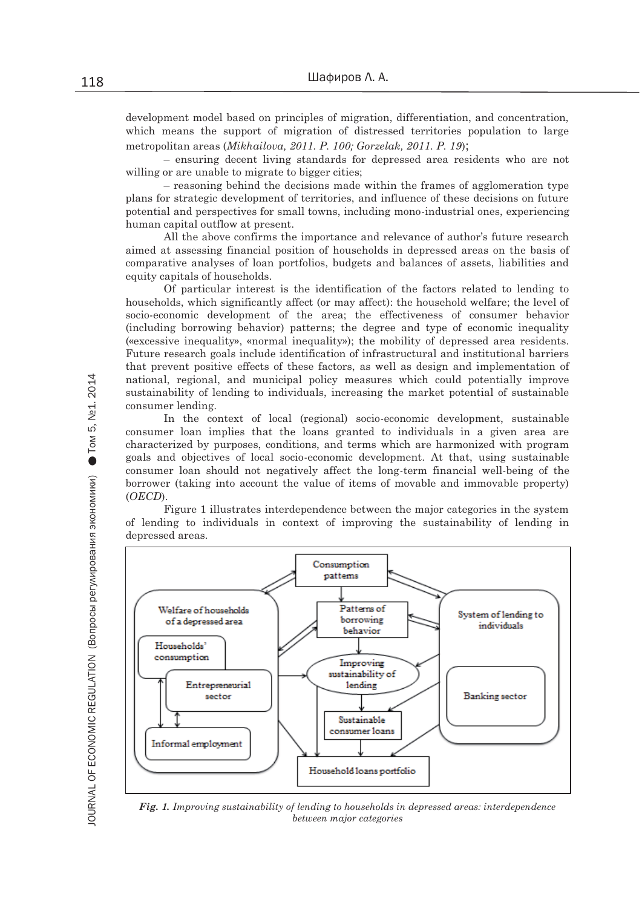development model based on principles of migration, differentiation, and concentration, which means the support of migration of distressed territories population to large metropolitan areas (*Mikhailova, 2011. P. 100; Gorzelak, 2011. P. 19*);

– ensuring decent living standards for depressed area residents who are not willing or are unable to migrate to bigger cities;

– reasoning behind the decisions made within the frames of agglomeration type plans for strategic development of territories, and influence of these decisions on future potential and perspectives for small towns, including mono-industrial ones, experiencing human capital outflow at present.

All the above confirms the importance and relevance of author's future research aimed at assessing financial position of households in depressed areas on the basis of comparative analyses of loan portfolios, budgets and balances of assets, liabilities and equity capitals of households.

Of particular interest is the identification of the factors related to lending to households, which significantly affect (or may affect): the household welfare; the level of socio-economic development of the area; the effectiveness of consumer behavior (including borrowing behavior) patterns; the degree and type of economic inequality («excessive inequality», «normal inequality»); the mobility of depressed area residents. Future research goals include identification of infrastructural and institutional barriers that prevent positive effects of these factors, as well as design and implementation of national, regional, and municipal policy measures which could potentially improve sustainability of lending to individuals, increasing the market potential of sustainable consumer lending.

In the context of local (regional) socio-economic development, sustainable consumer loan implies that the loans granted to individuals in a given area are characterized by purposes, conditions, and terms which are harmonized with program goals and objectives of local socio-economic development. At that, using sustainable consumer loan should not negatively affect the long-term financial well-being of the borrower (taking into account the value of items of movable and immovable property) (*OECD*).

Figure 1 illustrates interdependence between the major categories in the system of lending to individuals in context of improving the sustainability of lending in depressed areas.



*Fig. 1. Improving sustainability of lending to households in depressed areas: interdependence between major categories*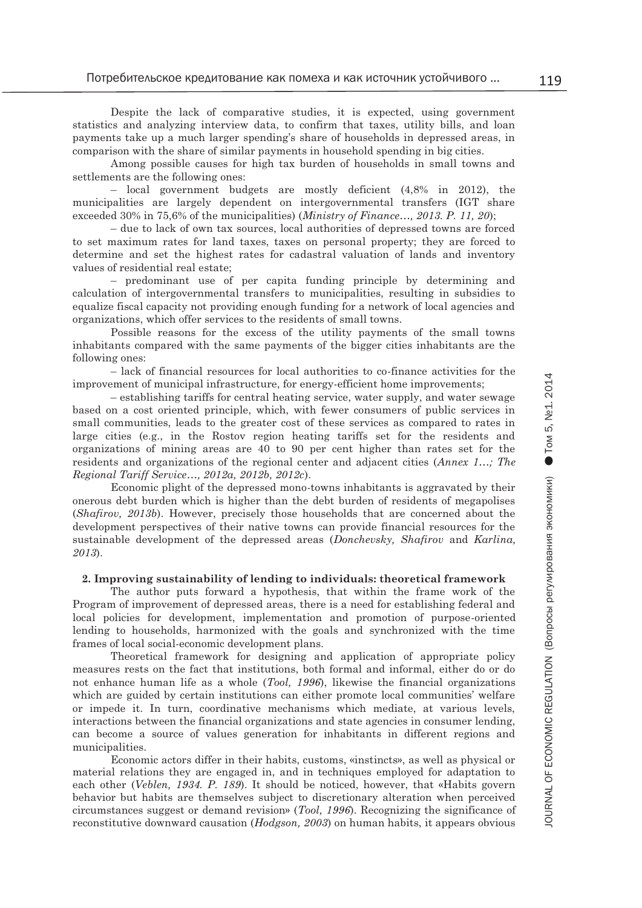Despite the lack of comparative studies, it is expected, using government statistics and analyzing interview data, to confirm that taxes, utility bills, and loan payments take up a much larger spending's share of households in depressed areas, in comparison with the share of similar payments in household spending in big cities.

Among possible causes for high tax burden of households in small towns and settlements are the following ones:

– local government budgets are mostly deficient (4,8% in 2012), the municipalities are largely dependent on intergovernmental transfers (IGT share exceeded 30% in 75,6% of the municipalities) (*Ministry of Finance…, 2013. P. 11, 20*);

– due to lack of own tax sources, local authorities of depressed towns are forced to set maximum rates for land taxes, taxes on personal property; they are forced to determine and set the highest rates for cadastral valuation of lands and inventory values of residential real estate;

– predominant use of per capita funding principle by determining and calculation of intergovernmental transfers to municipalities, resulting in subsidies to equalize fiscal capacity not providing enough funding for a network of local agencies and organizations, which offer services to the residents of small towns.

Possible reasons for the excess of the utility payments of the small towns inhabitants compared with the same payments of the bigger cities inhabitants are the following ones:

– lack of financial resources for local authorities to co-finance activities for the improvement of municipal infrastructure, for energy-efficient home improvements;

– establishing tariffs for central heating service, water supply, and water sewage based on a cost oriented principle, which, with fewer consumers of public services in small communities, leads to the greater cost of these services as compared to rates in large cities (e.g., in the Rostov region heating tariffs set for the residents and organizations of mining areas are 40 to 90 per cent higher than rates set for the residents and organizations of the regional center and adjacent cities (*Annex 1…; The Regional Tariff Service…, 2012a, 2012b, 2012c*).

Economic plight of the depressed mono-towns inhabitants is aggravated by their onerous debt burden which is higher than the debt burden of residents of megapolises (*Shafirov, 2013b*). However, precisely those households that are concerned about the development perspectives of their native towns can provide financial resources for the sustainable development of the depressed areas (*Donchevsky, Shafirov* and *Karlina, 2013*).

### **2. Improving sustainability of lending to individuals: theoretical framework**

The author puts forward a hypothesis, that within the frame work of the Program of improvement of depressed areas, there is a need for establishing federal and local policies for development, implementation and promotion of purpose-oriented lending to households, harmonized with the goals and synchronized with the time frames of local social-economic development plans.

Theoretical framework for designing and application of appropriate policy measures rests on the fact that institutions, both formal and informal, either do or do not enhance human life as a whole (*Tool, 1996*), likewise the financial organizations which are guided by certain institutions can either promote local communities' welfare or impede it. In turn, coordinative mechanisms which mediate, at various levels, interactions between the financial organizations and state agencies in consumer lending, can become a source of values generation for inhabitants in different regions and municipalities.

Economic actors differ in their habits, customs, «instincts», as well as physical or material relations they are engaged in, and in techniques employed for adaptation to each other (*Veblen, 1934. P. 189*). It should be noticed, however, that «Habits govern behavior but habits are themselves subject to discretionary alteration when perceived circumstances suggest or demand revision» (*Tool, 1996*). Recognizing the significance of reconstitutive downward causation (*Hodgson, 2003*) on human habits, it appears obvious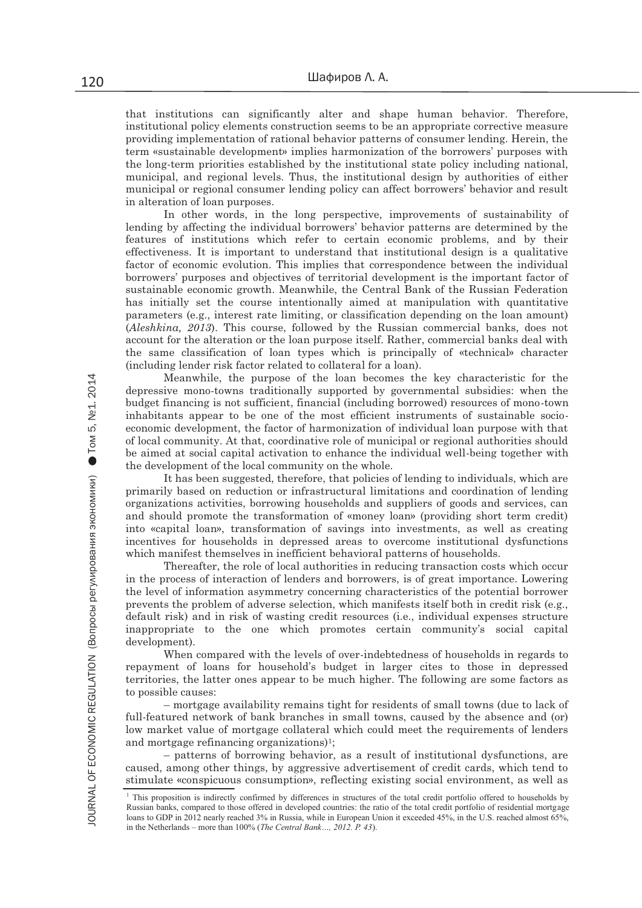that institutions can significantly alter and shape human behavior. Therefore, institutional policy elements construction seems to be an appropriate corrective measure providing implementation of rational behavior patterns of consumer lending. Herein, the term «sustainable development» implies harmonization of the borrowers' purposes with the long-term priorities established by the institutional state policy including national, municipal, and regional levels. Thus, the institutional design by authorities of either municipal or regional consumer lending policy can affect borrowers' behavior and result in alteration of loan purposes.

In other words, in the long perspective, improvements of sustainability of lending by affecting the individual borrowers' behavior patterns are determined by the features of institutions which refer to certain economic problems, and by their effectiveness. It is important to understand that institutional design is a qualitative factor of economic evolution. This implies that correspondence between the individual borrowers' purposes and objectives of territorial development is the important factor of sustainable economic growth. Meanwhile, the Central Bank of the Russian Federation has initially set the course intentionally aimed at manipulation with quantitative parameters (e.g., interest rate limiting, or classification depending on the loan amount) (*Aleshkina, 2013*). This course, followed by the Russian commercial banks, does not account for the alteration or the loan purpose itself. Rather, commercial banks deal with the same classification of loan types which is principally of «technical» character (including lender risk factor related to collateral for a loan).

Meanwhile, the purpose of the loan becomes the key characteristic for the depressive mono-towns traditionally supported by governmental subsidies: when the budget financing is not sufficient, financial (including borrowed) resources of mono-town inhabitants appear to be one of the most efficient instruments of sustainable socioeconomic development, the factor of harmonization of individual loan purpose with that of local community. At that, coordinative role of municipal or regional authorities should be aimed at social capital activation to enhance the individual well-being together with the development of the local community on the whole.

It has been suggested, therefore, that policies of lending to individuals, which are primarily based on reduction or infrastructural limitations and coordination of lending organizations activities, borrowing households and suppliers of goods and services, can and should promote the transformation of «money loan» (providing short term credit) into «capital loan», transformation of savings into investments, as well as creating incentives for households in depressed areas to overcome institutional dysfunctions which manifest themselves in inefficient behavioral patterns of households.

Thereafter, the role of local authorities in reducing transaction costs which occur in the process of interaction of lenders and borrowers, is of great importance. Lowering the level of information asymmetry concerning characteristics of the potential borrower prevents the problem of adverse selection, which manifests itself both in credit risk (e.g., default risk) and in risk of wasting credit resources (i.e., individual expenses structure inappropriate to the one which promotes certain community's social capital development).

When compared with the levels of over-indebtedness of households in regards to repayment of loans for household's budget in larger cites to those in depressed territories, the latter ones appear to be much higher. The following are some factors as to possible causes:

– mortgage availability remains tight for residents of small towns (due to lack of full-featured network of bank branches in small towns, caused by the absence and (or) low market value of mortgage collateral which could meet the requirements of lenders and mortgage refinancing organizations) $\frac{1}{1}$ ;

– patterns of borrowing behavior, as a result of institutional dysfunctions, are caused, among other things, by aggressive advertisement of credit cards, which tend to stimulate «conspicuous consumption», reflecting existing social environment, as well as

<sup>&</sup>lt;sup>1</sup> This proposition is indirectly confirmed by differences in structures of the total credit portfolio offered to households by Russian banks, compared to those offered in developed countries: the ratio of the total credit portfolio of residential mortgage loans to GDP in 2012 nearly reached 3% in Russia, while in European Union it exceeded 45%, in the U.S. reached almost 65%, in the Netherlands – more than 100% (*The Central Bank…, 2012. P. 43*).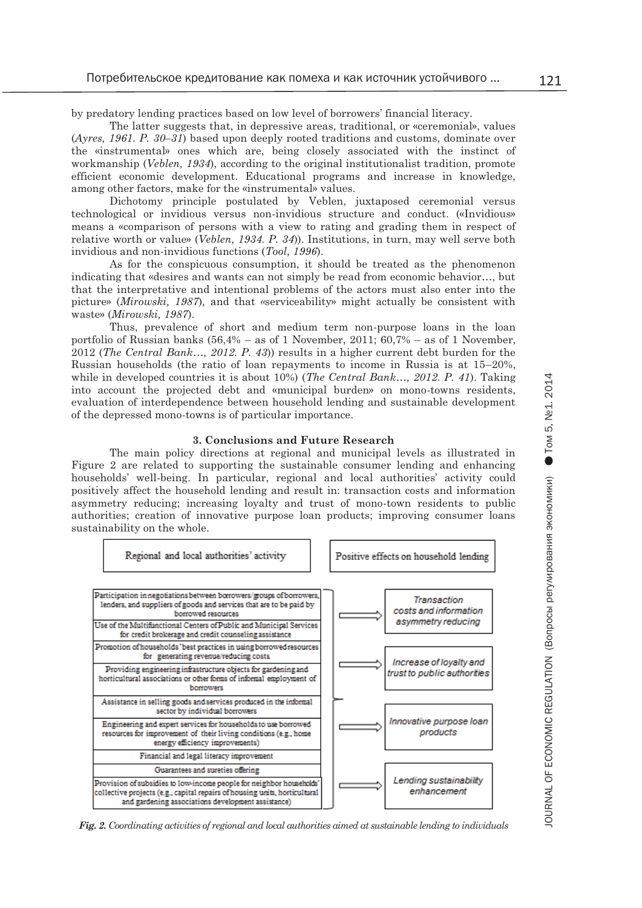by predatory lending practices based on low level of borrowers' financial literacy.

The latter suggests that, in depressive areas, traditional, or «ceremonial», values (*Ayres, 1961. P. 30–31*) based upon deeply rooted traditions and customs, dominate over the «instrumental» ones which are, being closely associated with the instinct of workmanship (*Veblen, 1934*), according to the original institutionalist tradition, promote efficient economic development. Educational programs and increase in knowledge, among other factors, make for the «instrumental» values.

Dichotomy principle postulated by Veblen, juxtaposed ceremonial versus technological or invidious versus non-invidious structure and conduct. («Invidious» means a «comparison of persons with a view to rating and grading them in respect of relative worth or value» (*Veblen, 1934. P. 34*)). Institutions, in turn, may well serve both invidious and non-invidious functions (*Tool, 1996*).

As for the conspicuous consumption, it should be treated as the phenomenon indicating that «desires and wants can not simply be read from economic behavior…, but that the interpretative and intentional problems of the actors must also enter into the picture» (*Mirowski, 1987*)*,* and that *«*serviceability» might actually be consistent with waste» (*Mirowski, 1987*).

Thus, prevalence of short and medium term non-purpose loans in the loan portfolio of Russian banks (56,4% – as of 1 November, 2011; 60,7% – as of 1 November, 2012 (*The Central Bank…, 2012. P. 43*)) results in a higher current debt burden for the Russian households (the ratio of loan repayments to income in Russia is at 15–20%, while in developed countries it is about 10%) (*The Central Bank…, 2012. P. 41*). Taking into account the projected debt and «municipal burden» on mono-towns residents, evaluation of interdependence between household lending and sustainable development of the depressed mono-towns is of particular importance.

# **3. Conclusions and Future Research**

The main policy directions at regional and municipal levels as illustrated in Figure 2 are related to supporting the sustainable consumer lending and enhancing households' well-being. In particular, regional and local authorities' activity could positively affect the household lending and result in: transaction costs and information asymmetry reducing; increasing loyalty and trust of mono-town residents to public authorities; creation of innovative purpose loan products; improving consumer loans sustainability on the whole.



*Fig. 2. Coordinating activities of regional and local authorities aimed at sustainable lending to individuals*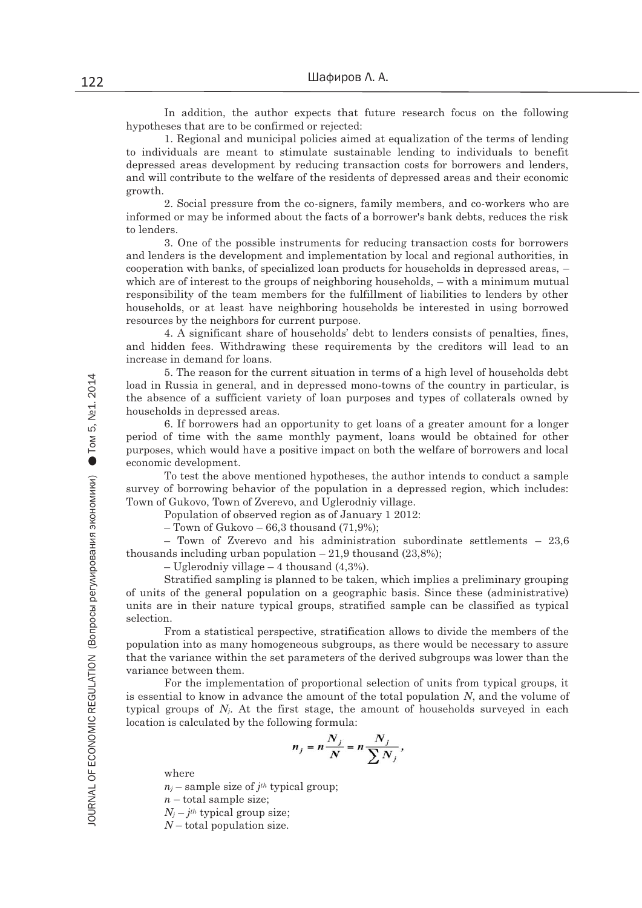In addition, the author expects that future research focus on the following hypotheses that are to be confirmed or rejected:

1. Regional and municipal policies aimed at equalization of the terms of lending to individuals are meant to stimulate sustainable lending to individuals to benefit depressed areas development by reducing transaction costs for borrowers and lenders, and will contribute to the welfare of the residents of depressed areas and their economic growth.

2. Social pressure from the co-signers, family members, and co-workers who are informed or may be informed about the facts of a borrower's bank debts, reduces the risk to lenders.

3. One of the possible instruments for reducing transaction costs for borrowers and lenders is the development and implementation by local and regional authorities, in cooperation with banks, of specialized loan products for households in depressed areas, – which are of interest to the groups of neighboring households, – with a minimum mutual responsibility of the team members for the fulfillment of liabilities to lenders by other households, or at least have neighboring households be interested in using borrowed resources by the neighbors for current purpose.

4. A significant share of households' debt to lenders consists of penalties, fines, and hidden fees. Withdrawing these requirements by the creditors will lead to an increase in demand for loans.

5. The reason for the current situation in terms of a high level of households debt load in Russia in general, and in depressed mono-towns of the country in particular, is the absence of a sufficient variety of loan purposes and types of collaterals owned by households in depressed areas.

6. If borrowers had an opportunity to get loans of a greater amount for a longer period of time with the same monthly payment, loans would be obtained for other purposes, which would have a positive impact on both the welfare of borrowers and local economic development.

To test the above mentioned hypotheses, the author intends to conduct a sample survey of borrowing behavior of the population in a depressed region, which includes: Town of Gukovo, Town of Zverevo, and Uglerodniy village.

Population of observed region as of January 1 2012:

 $-$  Town of Gukovo – 66.3 thousand (71,9%);

– Town of Zverevo and his administration subordinate settlements – 23,6 thousands including urban population  $-21.9$  thousand  $(23.8\%)$ ;

– Uglerodniy village – 4 thousand (4,3%).

Stratified sampling is planned to be taken, which implies a preliminary grouping of units of the general population on a geographic basis. Since these (administrative) units are in their nature typical groups, stratified sample can be classified as typical selection.

From a statistical perspective, stratification allows to divide the members of the population into as many homogeneous subgroups, as there would be necessary to assure that the variance within the set parameters of the derived subgroups was lower than the variance between them.

For the implementation of proportional selection of units from typical groups, it is essential to know in advance the amount of the total population *N*, and the volume of typical groups of *Nj*. At the first stage, the amount of households surveyed in each location is calculated by the following formula:

$$
n_j = n \frac{N_j}{N} = n \frac{N_j}{\sum N_j},
$$

where

 $n_i$  – sample size of  $i^{th}$  typical group;

*n* – total sample size;

 $N_i - i$ <sup>th</sup> typical group size;

*N* – total population size.

122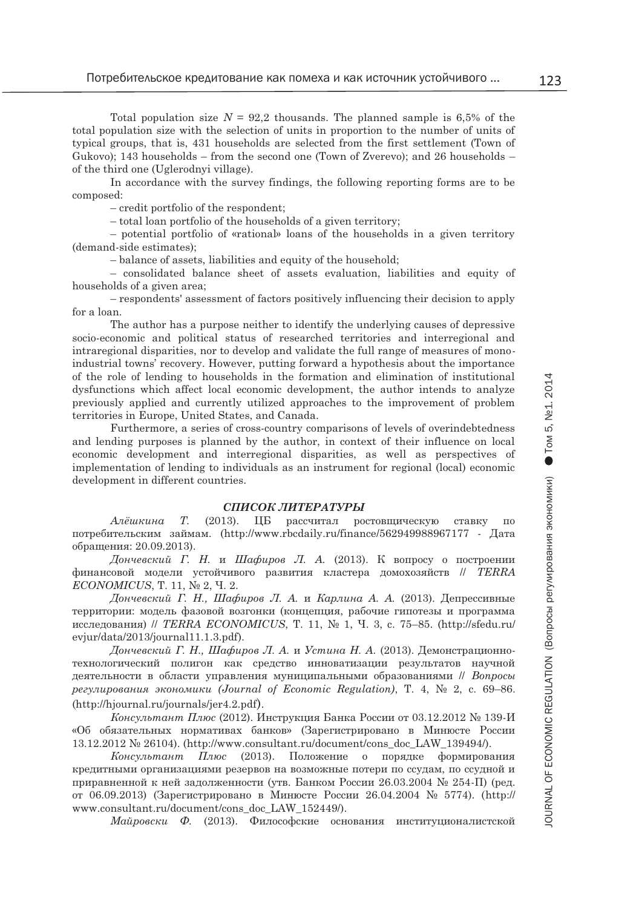Total population size  $N = 92.2$  thousands. The planned sample is 6.5% of the total population size with the selection of units in proportion to the number of units of typical groups, that is, 431 households are selected from the first settlement (Town of Gukovo); 143 households – from the second one (Town of Zverevo); and 26 households – of the third one (Uglerodnyi village).

In accordance with the survey findings, the following reporting forms are to be composed:

– credit portfolio of the respondent;

– total loan portfolio of the households of a given territory;

– potential portfolio of «rational» loans of the households in a given territory (demand-side estimates);

– balance of assets, liabilities and equity of the household;

– consolidated balance sheet of assets evaluation, liabilities and equity of households of a given area;

– respondents' assessment of factors positively influencing their decision to apply for a loan.

The author has a purpose neither to identify the underlying causes of depressive socio-economic and political status of researched territories and interregional and intraregional disparities, nor to develop and validate the full range of measures of monoindustrial towns' recovery. However, putting forward a hypothesis about the importance of the role of lending to households in the formation and elimination of institutional dysfunctions which affect local economic development, the author intends to analyze previously applied and currently utilized approaches to the improvement of problem territories in Europe, United States, and Canada.

Furthermore, a series of cross-country comparisons of levels of overindebtedness and lending purposes is planned by the author, in context of their influence on local economic development and interregional disparities, as well as perspectives of implementation of lending to individuals as an instrument for regional (local) economic development in different countries.

*Алёшкина Т.* (2013). ЦБ рассчитал ростовщическую ставку по потребительским займам. (http://www.rbcdaily.ru/finance/562949988967177 - Дата обращения: 20.09.2013).

*Дончевский Г. Н.* и *Шафиров Л. А.* (2013). К вопросу о построении финансовой модели устойчивого развития кластера домохозяйств // *TERRA ECONOMICUS*, Т. 11, № 2, Ч. 2.

*Дончевский Г. Н., Шафиров Л. А.* и *Карлина А. А.* (2013). Депрессивные территории: модель фазовой возгонки (концепция, рабочие гипотезы и программа исследования) // *ТЕRRА ECONOMICUS*, Т. 11, № 1, Ч. 3, с. 75–85. (http://sfedu.ru/ evjur/data/2013/journal11.1.3.pdf).

*Дончевский Г. Н., Шафиров Л. А.* и *Устина Н. А.* (2013). Демонстрационнотехнологический полигон как средство инноватизации результатов научной деятельности в области управления муниципальными образованиями // *Вопросы регулирования экономики (Journal of Economic Regulation)*, Т. 4, № 2, с. 69–86. (http://hjournal.ru/journals/jer4.2.pdf).

*Консультант Плюс* (2012). Инструкция Банка России от 03.12.2012 № 139-И «Об обязательных нормативах банков» (Зарегистрировано в Минюсте России 13.12.2012 № 26104). (http://www.consultant.ru/document/cons\_doc\_LAW\_139494/).

*Консультант Плюс* (2013). Положение о порядке формирования кредитными организациями резервов на возможные потери по ссудам, по ссудной и приравненной к ней задолженности (утв. Банком России 26.03.2004 № 254-П) (ред. от 06.09.2013) (Зарегистрировано в Минюсте России 26.04.2004 № 5774). (http:// www.consultant.ru/document/cons\_doc\_LAW\_152449/).

*Майровски Ф.* (2013). Философские основания институционалистской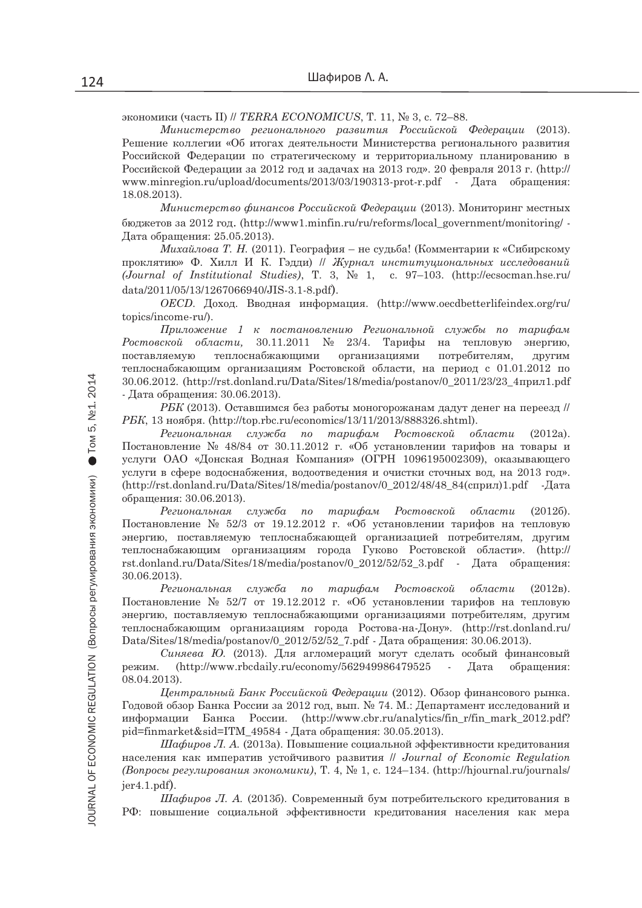экономики (часть II) // *TERRA ECONOMICUS*, Т. 11, № 3, с. 72–88.

*Министерство регионального развития Российской Федерации* (2013). Решение коллегии «Об итогах деятельности Министерства регионального развития Российской Федерации по стратегическому и территориальному планированию в Российской Федерации за 2012 год и задачах на 2013 год». 20 февраля 2013 г. (http:// www.minregion.ru/upload/documents/2013/03/190313-prot-r.pdf - Дата обращения: 18.08.2013).

*Министерство финансов Российской Федерации* (2013). Мониторинг местных бюджетов за 2012 год. (http://www1.minfin.ru/ru/reforms/local\_government/monitoring/ - Дата обращения: 25.05.2013).

*Михайлова Т. Н.* (2011). География – не судьба! (Комментарии к «Сибирскому проклятию» Ф. Хилл И К. Гэдди) // *Журнал институциональных исследований (Journal of Institutional Studies)*, Т. 3, № 1, с. 97–103. (http://ecsocman.hse.ru/ data/2011/05/13/1267066940/JIS-3.1-8.pdf).

*OECD*. Доход. Вводная информация. (http://www.oecdbetterlifeindex.org/ru/ topics/income-ru/).

*Приложение 1 к постановлению Региональной службы по тарифам Ростовской области,* 30.11.2011 № 23/4. Тарифы на тепловую энергию, поставляемую теплоснабжающими организациями потребителям, другим теплоснабжающим организациям Ростовской области, на период с 01.01.2012 по 30.06.2012. (http://rst.donland.ru/Data/Sites/18/media/postanov/0\_2011/23/23\_4прил1.pdf - Дата обращения: 30.06.2013).

*РБК* (2013). Оставшимся без работы моногорожанам дадут денег на переезд // *РБК*, 13 ноября. (http://top.rbc.ru/economics/13/11/2013/888326.shtml).

*Региональная служба по тарифам Ростовской области* (2012a). Постановление № 48/84 от 30.11.2012 г. «Об установлении тарифов на товары и услуги ОАО «Донская Водная Компания» (ОГРН 1096195002309), оказывающего услуги в сфере водоснабжения, водоотведения и очистки сточных вод, на 2013 год». (http://rst.donland.ru/Data/Sites/18/media/postanov/0\_2012/48/48\_84(сприл)1.pdf -Дата обращения: 30.06.2013).

*Региональная служба по тарифам Ростовской области* (2012б). Постановление № 52/3 от 19.12.2012 г. «Об установлении тарифов на тепловую энергию, поставляемую теплоснабжающей организацией потребителям, другим теплоснабжающим организациям города Гуково Ростовской области». (http:// rst.donland.ru/Data/Sites/18/media/postanov/0\_2012/52/52\_3.pdf - Дата обращения: 30.06.2013).

*Региональная служба по тарифам Ростовской области* (2012в). Постановление № 52/7 от 19.12.2012 г. «Об установлении тарифов на тепловую энергию, поставляемую теплоснабжающими организациями потребителям, другим теплоснабжающим организациям города Ростова-на-Дону». (http://rst.donland.ru/ Data/Sites/18/media/postanov/0\_2012/52/52\_7.pdf - Дата обращения: 30.06.2013).

*Синяева Ю.* (2013). Для агломераций могут сделать особый финансовый режим. (http://www.rbcdaily.ru/economy/562949986479525 - Дата обращения: 08.04.2013).

*Центральный Банк Российской Федерации* (2012). Обзор финансового рынка. Годовой обзор Банка России за 2012 год, вып. № 74. М.: Департамент исследований и информации Банка России. (http://www.cbr.ru/analytics/fin\_r/fin\_mark\_2012.pdf? pid=finmarket&sid=ITM\_49584 - Дата обращения: 30.05.2013).

*Шафиров Л. А.* (2013a). Повышение социальной эффективности кредитования населения как императив устойчивого развития // *Journal of Economic Regulation (Вопросы регулирования экономики)*, Т. 4, № 1, с. 124–134. (http://hjournal.ru/journals/ jer4.1.pdf).

*Шафиров Л. А.* (2013б). Современный бум потребительского кредитования в РФ: повышение социальной эффективности кредитования населения как мера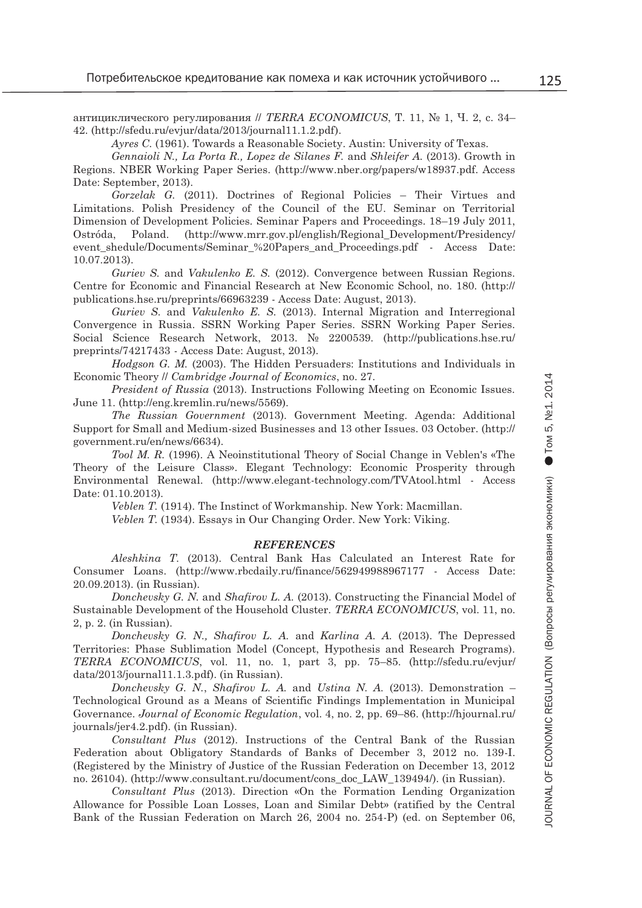антициклического регулирования // *ТЕRRА ECONOMICUS*, Т. 11, № 1, Ч. 2, с. 34– 42. (http://sfedu.ru/evjur/data/2013/journal11.1.2.pdf).

*Ayres C.* (1961). Towards a Reasonable Society*.* Austin: University of Texas.

*Gennaioli N., La Porta R., Lopez de Silanes F.* and *Shleifer A.* (2013). Growth in Regions. NBER Working Paper Series. (http://www.nber.org/papers/w18937.pdf. Access Date: September, 2013).

*Gorzelak G.* (2011). Doctrines of Regional Policies – Their Virtues and Limitations. Polish Presidency of the Council of the EU. Seminar on Territorial Dimension of Development Policies. Seminar Papers and Proceedings. 18–19 July 2011, Ostróda, Poland. (http://www.mrr.gov.pl/english/Regional\_Development/Presidency/ event\_shedule/Documents/Seminar\_%20Papers\_and\_Proceedings.pdf - Access Date: 10.07.2013).

*Guriev S.* and *Vakulenko E. S.* (2012). Convergence between Russian Regions. Centre for Economic and Financial Research at New Economic School, no. 180. (http:// publications.hse.ru/preprints/66963239 - Access Date: August, 2013).

*Guriev S.* and *Vakulenko E. S.* (2013). Internal Migration and Interregional Convergence in Russia. SSRN Working Paper Series. SSRN Working Paper Series. Social Science Research Network, 2013. № 2200539. (http://publications.hse.ru/ preprints/74217433 - Access Date: August, 2013).

*Hodgson G. M.* (2003). The Hidden Persuaders: Institutions and Individuals in Economic Theory // *Cambridge Journal of Economics*, no. 27.

*President of Russia* (2013). Instructions Following Meeting on Economic Issues. June 11. (http://eng.kremlin.ru/news/5569).

*The Russian Government* (2013). Government Meeting. Agenda: Additional Support for Small and Medium-sized Businesses and 13 other Issues. 03 October. (http:// government.ru/en/news/6634).

*Tool M. R.* (1996). A Neoinstitutional Theory of Social Change in Veblen's «The Theory of the Leisure Class». Elegant Technology: Economic Prosperity through Environmental Renewal. (http://www.elegant-technology.com/TVAtool.html - Access Date: 01.10.2013).

*Veblen T.* (1914). The Instinct of Workmanship. New York: Macmillan.

*Veblen T.* (1934). Essays in Our Changing Order. New York: Viking.

*REFERENCES Aleshkina T.* (2013). Central Bank Has Calculated an Interest Rate for Consumer Loans. (http://www.rbcdaily.ru/finance/562949988967177 - Access Date: 20.09.2013). (in Russian).

*Donchevsky G. N.* and *Shafirov L. A.* (2013). Constructing the Financial Model of Sustainable Development of the Household Cluster. *TERRA ECONOMICUS*, vol. 11, no. 2, p. 2. (in Russian).

*Donchevsky G. N., Shafirov L. A.* and *Karlina A. A.* (2013). The Depressed Territories: Phase Sublimation Model (Concept, Hypothesis and Research Programs). *ТЕRRА ECONOMICUS*, vol. 11, no. 1, part 3, pp. 75–85. (http://sfedu.ru/evjur/ data/2013/journal11.1.3.pdf). (in Russian).

*Donchevsky G. N.*, *Shafirov L. A.* and *Ustina N. A.* (2013). Demonstration – Technological Ground as a Means of Scientific Findings Implementation in Municipal Governance. *Journal of Economic Regulation*, vol. 4, no. 2, pp. 69–86. (http://hjournal.ru/ journals/jer4.2.pdf). (in Russian).

*Consultant Plus* (2012). Instructions of the Central Bank of the Russian Federation about Obligatory Standards of Banks of December 3, 2012 no. 139-I. (Registered by the Ministry of Justice of the Russian Federation on December 13, 2012 no. 26104). (http://www.consultant.ru/document/cons\_doc\_LAW\_139494/). (in Russian).

*Consultant Plus* (2013). Direction «On the Formation Lending Organization Allowance for Possible Loan Losses, Loan and Similar Debt» (ratified by the Central Bank of the Russian Federation on March 26, 2004 no. 254-P) (ed. on September 06,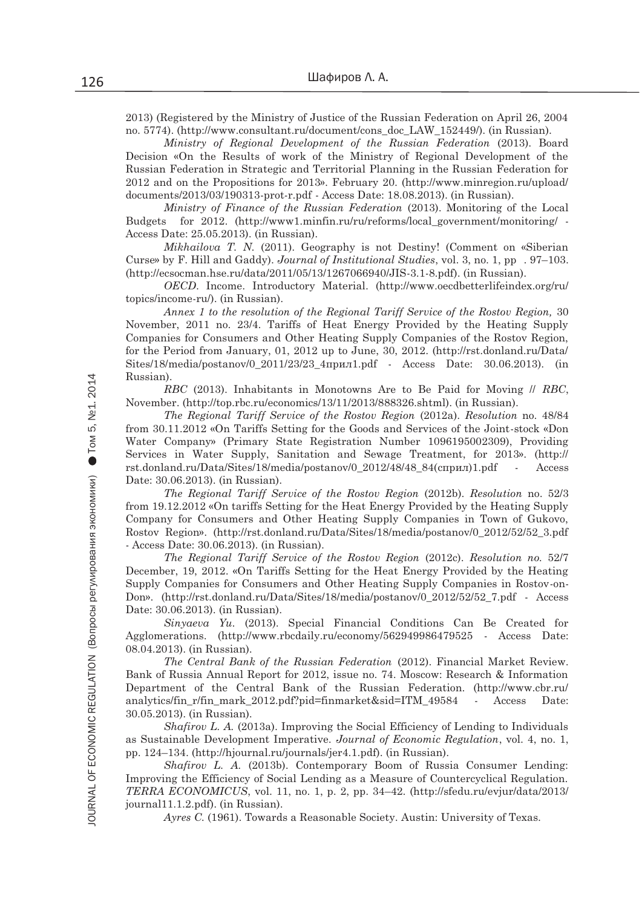2013) (Registered by the Ministry of Justice of the Russian Federation on April 26, 2004 no. 5774). (http://www.consultant.ru/document/cons\_doc\_LAW\_152449/). (in Russian).

*Ministry of Regional Development of the Russian Federation* (2013). Board Decision «On the Results of work of the Ministry of Regional Development of the Russian Federation in Strategic and Territorial Planning in the Russian Federation for 2012 and on the Propositions for 2013». February 20. (http://www.minregion.ru/upload/ documents/2013/03/190313-prot-r.pdf - Access Date: 18.08.2013). (in Russian).

*Ministry of Finance of the Russian Federation* (2013). Monitoring of the Local Budgets for 2012. (http://www1.minfin.ru/ru/reforms/local\_government/monitoring/ - Access Date: 25.05.2013). (in Russian).

*Mikhailova T. N.* (2011). Geography is not Destiny! (Comment on «Siberian Curse» by F. Hill and Gaddy). *Journal of Institutional Studies*, vol. 3, no. 1, pp . 97–103. (http://ecsocman.hse.ru/data/2011/05/13/1267066940/JIS-3.1-8.pdf). (in Russian).

*OECD*. Income. Introductory Material. (http://www.oecdbetterlifeindex.org/ru/ topics/income-ru/). (in Russian).

*Annex 1 to the resolution of the Regional Tariff Service of the Rostov Region,* 30 November, 2011 no. 23/4. Tariffs of Heat Energy Provided by the Heating Supply Companies for Consumers and Other Heating Supply Companies of the Rostov Region, for the Period from January, 01, 2012 up to June, 30, 2012. (http://rst.donland.ru/Data/ Sites/18/media/postanov/0\_2011/23/23\_4прил1.pdf - Access Date: 30.06.2013). (in Russian).

*RBC* (2013). Inhabitants in Monotowns Are to Be Paid for Moving // *RBC*, November. (http://top.rbc.ru/economics/13/11/2013/888326.shtml). (in Russian).

*The Regional Tariff Service of the Rostov Region* (2012a). *Resolution* no. 48/84 from 30.11.2012 «On Tariffs Setting for the Goods and Services of the Joint-stock «Don Water Company» (Primary State Registration Number 1096195002309), Providing Services in Water Supply, Sanitation and Sewage Treatment, for 2013». (http:// rst.donland.ru/Data/Sites/18/media/postanov/0\_2012/48/48\_84(сприл)1.pdf - Access Date: 30.06.2013). (in Russian).

*The Regional Tariff Service of the Rostov Region* (2012b). *Resolution* no. 52/3 from 19.12.2012 «On tariffs Setting for the Heat Energy Provided by the Heating Supply Company for Consumers and Other Heating Supply Companies in Town of Gukovo, Rostov Region». (http://rst.donland.ru/Data/Sites/18/media/postanov/0\_2012/52/52\_3.pdf - Access Date: 30.06.2013). (in Russian).

*The Regional Tariff Service of the Rostov Region* (2012c). *Resolution no.* 52/7 December, 19, 2012. «On Tariffs Setting for the Heat Energy Provided by the Heating Supply Companies for Consumers and Other Heating Supply Companies in Rostov-on-Don». (http://rst.donland.ru/Data/Sites/18/media/postanov/0\_2012/52/52\_7.pdf - Access Date: 30.06.2013). (in Russian).

*Sinyaeva Yu.* (2013). Special Financial Conditions Can Be Created for Agglomerations. (http://www.rbcdaily.ru/economy/562949986479525 - Access Date: 08.04.2013). (in Russian).

*The Central Bank of the Russian Federation* (2012). Financial Market Review. Bank of Russia Annual Report for 2012, issue no. 74. Moscow: Research & Information Department of the Central Bank of the Russian Federation. (http://www.cbr.ru/ analytics/fin\_r/fin\_mark\_2012.pdf?pid=finmarket&sid=ITM\_49584 - Access Date: 30.05.2013). (in Russian).

*Shafirov L. A.* (2013a). Improving the Social Efficiency of Lending to Individuals as Sustainable Development Imperative. *Journal of Economic Regulation*, vol. 4, no. 1, pp. 124–134. (http://hjournal.ru/journals/jer4.1.pdf). (in Russian).

*Shafirov L. A.* (2013b). Contemporary Boom of Russia Consumer Lending: Improving the Efficiency of Social Lending as a Measure of Countercyclical Regulation. *ТЕRRА ECONOMICUS*, vol. 11, no. 1, p. 2, pp. 34–42. (http://sfedu.ru/evjur/data/2013/ journal11.1.2.pdf). (in Russian).

*Ayres C.* (1961). Towards a Reasonable Society*.* Austin: University of Texas.